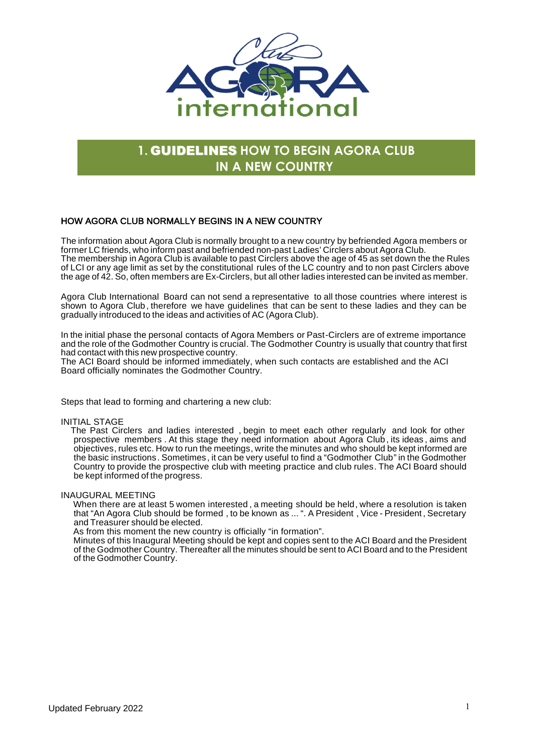

# **1.** GUIDELINES **HOW TO BEGIN AGORA CLUB IN A NEW COUNTRY**

# HOW AGORA CLUB NORMALLY BEGINS IN A NEW COUNTRY

The information about Agora Club is normally brought to a new country by befriended Agora members or former LC friends, who inform past and befriended non-past Ladies' Circlers about Agora Club. The membership in Agora Club is available to past Circlers above the age of 45 as set down the the Rules of LCI or any age limit as set by the constitutional rules of the LC country and to non past Circlers above the age of 42. So, often members are Ex-Circlers, but all other ladies interested can be invited as member.

Agora Club International Board can not send a representative to all those countries where interest is shown to Agora Club , therefore we have guidelines that can be sent to these ladies and they can be gradually introduced to the ideas and activities of AC (Agora Club).

In the initial phase the personal contacts of Agora Members or Past-Circlers are of extreme importance and the role of the Godmother Country is crucial. The Godmother Country is usually that country that first had contact with this new prospective country.

The ACI Board should be informed immediately, when such contacts are established and the ACI Board officially nominates the Godmother Country.

Steps that lead to forming and chartering a new club:

#### INITIAL STAGE

 prospective members . At this stage they need information about Agora Club , its ideas , aims and The Past Circlers and ladies interested , begin to meet each other regularly and look for other objectives, rules etc. How to run the meetings, write the minutes and who should be kept informed are the basic instructions. Sometimes, it can be very useful to find a "Godmother Club" in the Godmother Country to provide the prospective club with meeting practice and club rules. The ACI Board should be kept informed of the progress.

INAUGURAL MEETING

when there are at least 5 women interested , a meeting should be held, where a resolution is taken<br>that "An Agora Club should be formed , to be known as ... ". A President , Vice - President , Secretary When there are at least 5 women interested , a meeting should be held, where a resolution is taken and Treasurer should be elected.

As from this moment the new country is officially "in formation".

Minutes of this Inaugural Meeting should be kept and copies sent to the ACI Board and the President of the Godmother Country. Thereafter all the minutes should be sent to ACI Board and to the President of the Godmother Country.